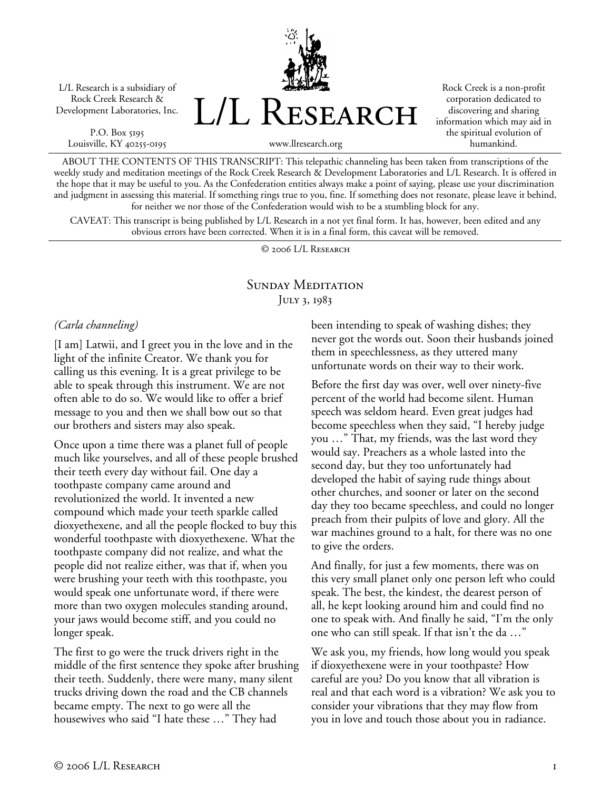L/L Research is a subsidiary of Rock Creek Research & Development Laboratories, Inc.

P.O. Box 5195 Louisville, KY 40255-0195



Rock Creek is a non-profit corporation dedicated to discovering and sharing information which may aid in the spiritual evolution of humankind.

www.llresearch.org

ABOUT THE CONTENTS OF THIS TRANSCRIPT: This telepathic channeling has been taken from transcriptions of the weekly study and meditation meetings of the Rock Creek Research & Development Laboratories and L/L Research. It is offered in the hope that it may be useful to you. As the Confederation entities always make a point of saying, please use your discrimination and judgment in assessing this material. If something rings true to you, fine. If something does not resonate, please leave it behind, for neither we nor those of the Confederation would wish to be a stumbling block for any.

CAVEAT: This transcript is being published by L/L Research in a not yet final form. It has, however, been edited and any obvious errors have been corrected. When it is in a final form, this caveat will be removed.

© 2006 L/L Research

# SUNDAY MEDITATION JULY 3, 1983

#### *(Carla channeling)*

[I am] Latwii, and I greet you in the love and in the light of the infinite Creator. We thank you for calling us this evening. It is a great privilege to be able to speak through this instrument. We are not often able to do so. We would like to offer a brief message to you and then we shall bow out so that our brothers and sisters may also speak.

Once upon a time there was a planet full of people much like yourselves, and all of these people brushed their teeth every day without fail. One day a toothpaste company came around and revolutionized the world. It invented a new compound which made your teeth sparkle called dioxyethexene, and all the people flocked to buy this wonderful toothpaste with dioxyethexene. What the toothpaste company did not realize, and what the people did not realize either, was that if, when you were brushing your teeth with this toothpaste, you would speak one unfortunate word, if there were more than two oxygen molecules standing around, your jaws would become stiff, and you could no longer speak.

The first to go were the truck drivers right in the middle of the first sentence they spoke after brushing their teeth. Suddenly, there were many, many silent trucks driving down the road and the CB channels became empty. The next to go were all the housewives who said "I hate these …" They had

been intending to speak of washing dishes; they never got the words out. Soon their husbands joined them in speechlessness, as they uttered many unfortunate words on their way to their work.

Before the first day was over, well over ninety-five percent of the world had become silent. Human speech was seldom heard. Even great judges had become speechless when they said, "I hereby judge you …" That, my friends, was the last word they would say. Preachers as a whole lasted into the second day, but they too unfortunately had developed the habit of saying rude things about other churches, and sooner or later on the second day they too became speechless, and could no longer preach from their pulpits of love and glory. All the war machines ground to a halt, for there was no one to give the orders.

And finally, for just a few moments, there was on this very small planet only one person left who could speak. The best, the kindest, the dearest person of all, he kept looking around him and could find no one to speak with. And finally he said, "I'm the only one who can still speak. If that isn't the da …"

We ask you, my friends, how long would you speak if dioxyethexene were in your toothpaste? How careful are you? Do you know that all vibration is real and that each word is a vibration? We ask you to consider your vibrations that they may flow from you in love and touch those about you in radiance.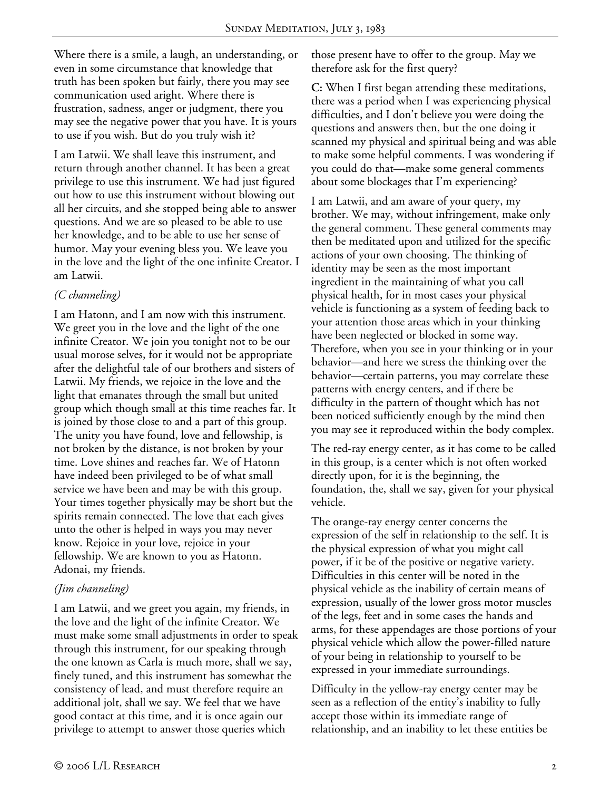Where there is a smile, a laugh, an understanding, or even in some circumstance that knowledge that truth has been spoken but fairly, there you may see communication used aright. Where there is frustration, sadness, anger or judgment, there you may see the negative power that you have. It is yours to use if you wish. But do you truly wish it?

I am Latwii. We shall leave this instrument, and return through another channel. It has been a great privilege to use this instrument. We had just figured out how to use this instrument without blowing out all her circuits, and she stopped being able to answer questions. And we are so pleased to be able to use her knowledge, and to be able to use her sense of humor. May your evening bless you. We leave you in the love and the light of the one infinite Creator. I am Latwii.

### *(C channeling)*

I am Hatonn, and I am now with this instrument. We greet you in the love and the light of the one infinite Creator. We join you tonight not to be our usual morose selves, for it would not be appropriate after the delightful tale of our brothers and sisters of Latwii. My friends, we rejoice in the love and the light that emanates through the small but united group which though small at this time reaches far. It is joined by those close to and a part of this group. The unity you have found, love and fellowship, is not broken by the distance, is not broken by your time. Love shines and reaches far. We of Hatonn have indeed been privileged to be of what small service we have been and may be with this group. Your times together physically may be short but the spirits remain connected. The love that each gives unto the other is helped in ways you may never know. Rejoice in your love, rejoice in your fellowship. We are known to you as Hatonn. Adonai, my friends.

# *(Jim channeling)*

I am Latwii, and we greet you again, my friends, in the love and the light of the infinite Creator. We must make some small adjustments in order to speak through this instrument, for our speaking through the one known as Carla is much more, shall we say, finely tuned, and this instrument has somewhat the consistency of lead, and must therefore require an additional jolt, shall we say. We feel that we have good contact at this time, and it is once again our privilege to attempt to answer those queries which

those present have to offer to the group. May we therefore ask for the first query?

**C:** When I first began attending these meditations, there was a period when I was experiencing physical difficulties, and I don't believe you were doing the questions and answers then, but the one doing it scanned my physical and spiritual being and was able to make some helpful comments. I was wondering if you could do that—make some general comments about some blockages that I'm experiencing?

I am Latwii, and am aware of your query, my brother. We may, without infringement, make only the general comment. These general comments may then be meditated upon and utilized for the specific actions of your own choosing. The thinking of identity may be seen as the most important ingredient in the maintaining of what you call physical health, for in most cases your physical vehicle is functioning as a system of feeding back to your attention those areas which in your thinking have been neglected or blocked in some way. Therefore, when you see in your thinking or in your behavior—and here we stress the thinking over the behavior—certain patterns, you may correlate these patterns with energy centers, and if there be difficulty in the pattern of thought which has not been noticed sufficiently enough by the mind then you may see it reproduced within the body complex.

The red-ray energy center, as it has come to be called in this group, is a center which is not often worked directly upon, for it is the beginning, the foundation, the, shall we say, given for your physical vehicle.

The orange-ray energy center concerns the expression of the self in relationship to the self. It is the physical expression of what you might call power, if it be of the positive or negative variety. Difficulties in this center will be noted in the physical vehicle as the inability of certain means of expression, usually of the lower gross motor muscles of the legs, feet and in some cases the hands and arms, for these appendages are those portions of your physical vehicle which allow the power-filled nature of your being in relationship to yourself to be expressed in your immediate surroundings.

Difficulty in the yellow-ray energy center may be seen as a reflection of the entity's inability to fully accept those within its immediate range of relationship, and an inability to let these entities be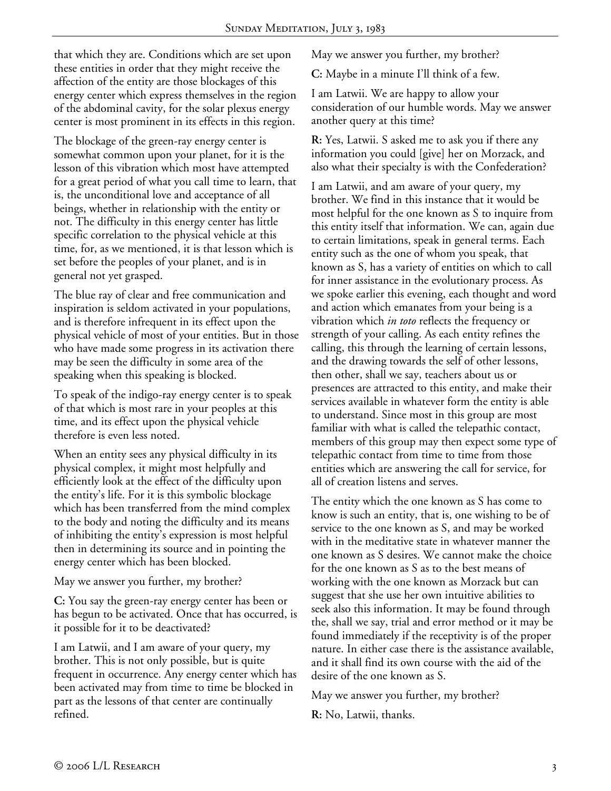that which they are. Conditions which are set upon these entities in order that they might receive the affection of the entity are those blockages of this energy center which express themselves in the region of the abdominal cavity, for the solar plexus energy center is most prominent in its effects in this region.

The blockage of the green-ray energy center is somewhat common upon your planet, for it is the lesson of this vibration which most have attempted for a great period of what you call time to learn, that is, the unconditional love and acceptance of all beings, whether in relationship with the entity or not. The difficulty in this energy center has little specific correlation to the physical vehicle at this time, for, as we mentioned, it is that lesson which is set before the peoples of your planet, and is in general not yet grasped.

The blue ray of clear and free communication and inspiration is seldom activated in your populations, and is therefore infrequent in its effect upon the physical vehicle of most of your entities. But in those who have made some progress in its activation there may be seen the difficulty in some area of the speaking when this speaking is blocked.

To speak of the indigo-ray energy center is to speak of that which is most rare in your peoples at this time, and its effect upon the physical vehicle therefore is even less noted.

When an entity sees any physical difficulty in its physical complex, it might most helpfully and efficiently look at the effect of the difficulty upon the entity's life. For it is this symbolic blockage which has been transferred from the mind complex to the body and noting the difficulty and its means of inhibiting the entity's expression is most helpful then in determining its source and in pointing the energy center which has been blocked.

May we answer you further, my brother?

**C:** You say the green-ray energy center has been or has begun to be activated. Once that has occurred, is it possible for it to be deactivated?

I am Latwii, and I am aware of your query, my brother. This is not only possible, but is quite frequent in occurrence. Any energy center which has been activated may from time to time be blocked in part as the lessons of that center are continually refined.

May we answer you further, my brother?

**C:** Maybe in a minute I'll think of a few.

I am Latwii. We are happy to allow your consideration of our humble words. May we answer another query at this time?

**R:** Yes, Latwii. S asked me to ask you if there any information you could [give] her on Morzack, and also what their specialty is with the Confederation?

I am Latwii, and am aware of your query, my brother. We find in this instance that it would be most helpful for the one known as S to inquire from this entity itself that information. We can, again due to certain limitations, speak in general terms. Each entity such as the one of whom you speak, that known as S, has a variety of entities on which to call for inner assistance in the evolutionary process. As we spoke earlier this evening, each thought and word and action which emanates from your being is a vibration which *in toto* reflects the frequency or strength of your calling. As each entity refines the calling, this through the learning of certain lessons, and the drawing towards the self of other lessons, then other, shall we say, teachers about us or presences are attracted to this entity, and make their services available in whatever form the entity is able to understand. Since most in this group are most familiar with what is called the telepathic contact, members of this group may then expect some type of telepathic contact from time to time from those entities which are answering the call for service, for all of creation listens and serves.

The entity which the one known as S has come to know is such an entity, that is, one wishing to be of service to the one known as S, and may be worked with in the meditative state in whatever manner the one known as S desires. We cannot make the choice for the one known as S as to the best means of working with the one known as Morzack but can suggest that she use her own intuitive abilities to seek also this information. It may be found through the, shall we say, trial and error method or it may be found immediately if the receptivity is of the proper nature. In either case there is the assistance available, and it shall find its own course with the aid of the desire of the one known as S.

May we answer you further, my brother?

**R:** No, Latwii, thanks.